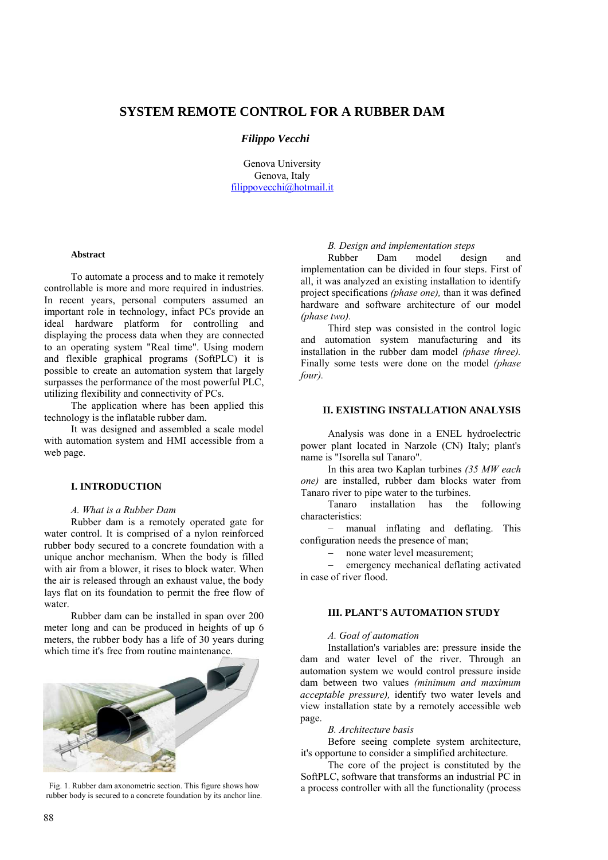## **SYSTEM REMOTE CONTROL FOR A RUBBER DAM**

## *Filippo Vecchi*

Genova University Genova, Italy filippovecchi@hotmail.it

#### **Abstract**

To automate a process and to make it remotely controllable is more and more required in industries. In recent years, personal computers assumed an important role in technology, infact PCs provide an ideal hardware platform for controlling and displaying the process data when they are connected to an operating system "Real time". Using modern and flexible graphical programs (SoftPLC) it is possible to create an automation system that largely surpasses the performance of the most powerful PLC, utilizing flexibility and connectivity of PCs.

The application where has been applied this technology is the inflatable rubber dam.

It was designed and assembled a scale model with automation system and HMI accessible from a web page.

## **I. INTRODUCTION**

### *A. What is a Rubber Dam*

Rubber dam is a remotely operated gate for water control. It is comprised of a nylon reinforced rubber body secured to a concrete foundation with a unique anchor mechanism. When the body is filled with air from a blower, it rises to block water. When the air is released through an exhaust value, the body lays flat on its foundation to permit the free flow of water.

Rubber dam can be installed in span over 200 meter long and can be produced in heights of up 6 meters, the rubber body has a life of 30 years during which time it's free from routine maintenance.



Fig. 1. Rubber dam axonometric section. This figure shows how rubber body is secured to a concrete foundation by its anchor line.

### *B. Design and implementation steps*

Rubber Dam model design and implementation can be divided in four steps. First of all, it was analyzed an existing installation to identify project specifications *(phase one),* than it was defined hardware and software architecture of our model *(phase two).*

Third step was consisted in the control logic and automation system manufacturing and its installation in the rubber dam model *(phase three).*  Finally some tests were done on the model *(phase four).* 

### **II. EXISTING INSTALLATION ANALYSIS**

Analysis was done in a ENEL hydroelectric power plant located in Narzole (CN) Italy; plant's name is "Isorella sul Tanaro".

In this area two Kaplan turbines *(35 MW each one)* are installed, rubber dam blocks water from Tanaro river to pipe water to the turbines.

Tanaro installation has the following characteristics:

− manual inflating and deflating. This configuration needs the presence of man;

− none water level measurement;

emergency mechanical deflating activated in case of river flood.

# **III. PLANT'S AUTOMATION STUDY**

#### *A. Goal of automation*

Installation's variables are: pressure inside the dam and water level of the river. Through an automation system we would control pressure inside dam between two values *(minimum and maximum acceptable pressure),* identify two water levels and view installation state by a remotely accessible web page.

*B. Architecture basis*

Before seeing complete system architecture, it's opportune to consider a simplified architecture.

The core of the project is constituted by the SoftPLC, software that transforms an industrial PC in a process controller with all the functionality (process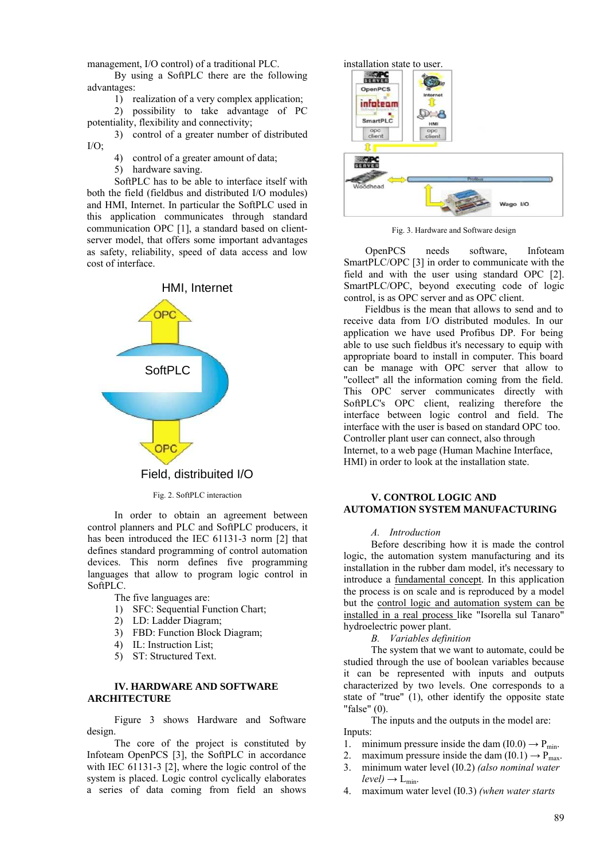management, I/O control) of a traditional PLC.

By using a SoftPLC there are the following advantages:

1) realization of a very complex application;

2) possibility to take advantage of PC potentiality, flexibility and connectivity;

3) control of a greater number of distributed  $I/O$ :

4) control of a greater amount of data;

5) hardware saving.

SoftPLC has to be able to interface itself with both the field (fieldbus and distributed I/O modules) and HMI, Internet. In particular the SoftPLC used in this application communicates through standard communication OPC [1], a standard based on clientserver model, that offers some important advantages as safety, reliability, speed of data access and low cost of interface.



Fig. 2. SoftPLC interaction

In order to obtain an agreement between control planners and PLC and SoftPLC producers, it has been introduced the IEC 61131-3 norm [2] that defines standard programming of control automation devices. This norm defines five programming languages that allow to program logic control in SoftPLC.

The five languages are:

- 1) SFC: Sequential Function Chart;
- 2) LD: Ladder Diagram;
- 3) FBD: Function Block Diagram;
- 4) IL: Instruction List;
- 5) ST: Structured Text.

## **IV. HARDWARE AND SOFTWARE ARCHITECTURE**

Figure 3 shows Hardware and Software design.

The core of the project is constituted by Infoteam OpenPCS [3], the SoftPLC in accordance with IEC 61131-3 [2], where the logic control of the system is placed. Logic control cyclically elaborates a series of data coming from field an shows



Fig. 3. Hardware and Software design

OpenPCS needs software, Infoteam SmartPLC/OPC [3] in order to communicate with the field and with the user using standard OPC [2]. SmartPLC/OPC, beyond executing code of logic control, is as OPC server and as OPC client.

Fieldbus is the mean that allows to send and to receive data from I/O distributed modules. In our application we have used Profibus DP. For being able to use such fieldbus it's necessary to equip with appropriate board to install in computer. This board can be manage with OPC server that allow to "collect" all the information coming from the field. This OPC server communicates directly with SoftPLC's OPC client, realizing therefore the interface between logic control and field. The interface with the user is based on standard OPC too. Controller plant user can connect, also through Internet, to a web page (Human Machine Interface, HMI) in order to look at the installation state.

## **V. CONTROL LOGIC AND AUTOMATION SYSTEM MANUFACTURING**

## *A. Introduction*

Before describing how it is made the control logic, the automation system manufacturing and its installation in the rubber dam model, it's necessary to introduce a fundamental concept. In this application the process is on scale and is reproduced by a model but the control logic and automation system can be installed in a real process like "Isorella sul Tanaro" hydroelectric power plant.

*B. Variables definition*

The system that we want to automate, could be studied through the use of boolean variables because it can be represented with inputs and outputs characterized by two levels. One corresponds to a state of "true" (1), other identify the opposite state "false" (0).

The inputs and the outputs in the model are: Inputs:

- 1. minimum pressure inside the dam  $(10.0) \rightarrow P_{min}$ .
- 2. maximum pressure inside the dam  $(10.1) \rightarrow P_{\text{max}}$ .
- 3. minimum water level (I0.2) *(also nominal water*   $level) \rightarrow L_{min}$ .
- 4. maximum water level (I0.3) *(when water starts*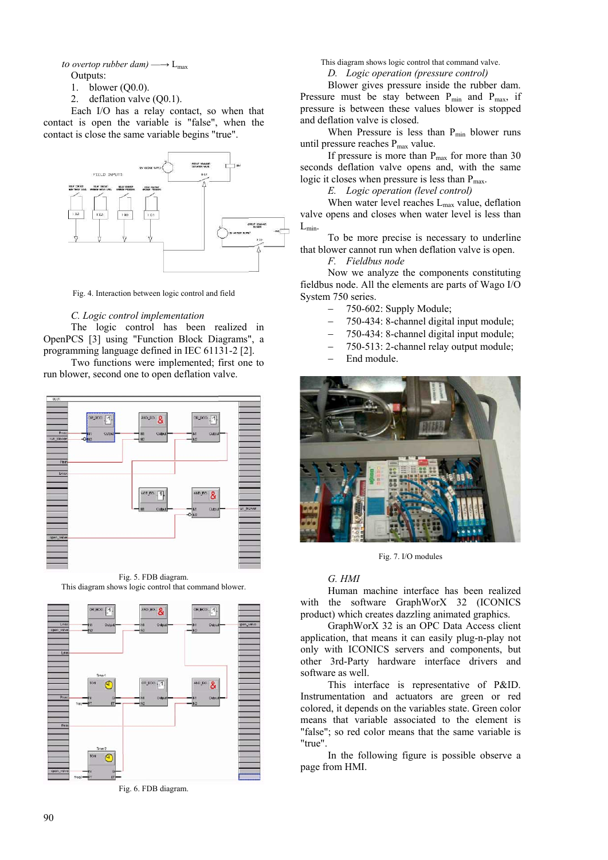*to overtop rubber dam)*  $\longrightarrow$  L<sub>max</sub> Outputs:

- 1. blower (Q0.0).
- 2. deflation valve (Q0.1).

Each I/O has a relay contact, so when that contact is open the variable is "false", when the contact is close the same variable begins "true".



Fig. 4. Interaction between logic control and field

#### *C. Logic control implementation*

The logic control has been realized in OpenPCS [3] using "Function Block Diagrams", a programming language defined in IEC 61131-2 [2].

Two functions were implemented; first one to run blower, second one to open deflation valve.



Fig. 5. FDB diagram. This diagram shows logic control that command blower.



Fig. 6. FDB diagram.

This diagram shows logic control that command valve.

*D. Logic operation (pressure control)*

Blower gives pressure inside the rubber dam. Pressure must be stay between  $P_{min}$  and  $P_{max}$ , if pressure is between these values blower is stopped and deflation valve is closed.

When Pressure is less than  $P_{min}$  blower runs until pressure reaches P<sub>max</sub> value.

If pressure is more than  $P_{\text{max}}$  for more than 30 seconds deflation valve opens and, with the same logic it closes when pressure is less than  $P_{\text{max}}$ .

*E. Logic operation (level control)*

When water level reaches  $L_{\text{max}}$  value, deflation valve opens and closes when water level is less than  $L_{min}$ .

To be more precise is necessary to underline that blower cannot run when deflation valve is open.

*F. Fieldbus node*

Now we analyze the components constituting fieldbus node. All the elements are parts of Wago I/O System 750 series.

- − 750-602: Supply Module;
- − 750-434: 8-channel digital input module;
- − 750-434: 8-channel digital input module;

− 750-513: 2-channel relay output module;

End module.



Fig. 7. I/O modules

#### *G. HMI*

Human machine interface has been realized with the software GraphWorX 32 (ICONICS product) which creates dazzling animated graphics.

GraphWorX 32 is an OPC Data Access client application, that means it can easily plug-n-play not only with ICONICS servers and components, but other 3rd-Party hardware interface drivers and software as well.

This interface is representative of P&ID. Instrumentation and actuators are green or red colored, it depends on the variables state. Green color means that variable associated to the element is "false"; so red color means that the same variable is "true".

In the following figure is possible observe a page from HMI.